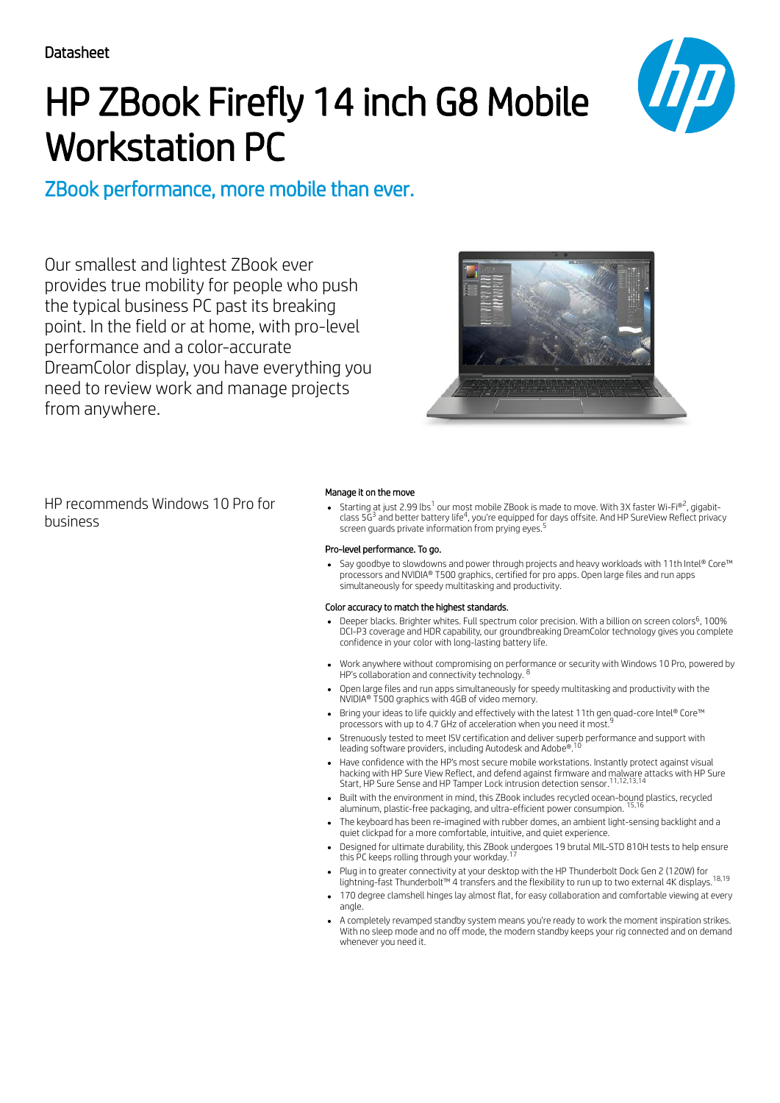# HP ZBook Firefly 14 inch G8 Mobile Workstation PC



# ZBook performance, more mobile than ever.

Our smallest and lightest ZBook ever provides true mobility for people who push the typical business PC past its breaking point. In the field or at home, with pro-level performance and a color-accurate DreamColor display, you have everything you need to review work and manage projects from anywhere.



HP recommends Windows 10 Pro for business

### Manage it on the move

Starting at just 2.99 lbs $^1$  our most mobile ZBook is made to move. With 3X faster Wi-Fi®2, gigabitclass 5 $\vec{\mathsf{G}}^{\mathsf{3}}$  and better battery life $^{\mathsf{4}}$ , you're equipped for days offsite. And HP SureView Reflect privacy screen guards private information from prying eyes. 5

### Pro-level performance. To go.

Say goodbye to slowdowns and power through projects and heavy workloads with 11th Intel® Core™ processors and NVIDIA® T500 graphics, certified for pro apps. Open large files and run apps simultaneously for speedy multitasking and productivity.

### Color accuracy to match the highest standards.

- Deeper blacks. Brighter whites. Full spectrum color precision. With a billion on screen colors<sup>6</sup>, 100% DCI-P3 coverage and HDR capability, our groundbreaking DreamColor technology gives you complete confidence in your color with long-lasting battery life.
- Work anywhere without compromising on performance or security with Windows 10 Pro, powered by<br>HP's collaboration and connectivity technology <sup>8</sup> HP's collaboration and connectivity technology.
- Open large files and run apps simultaneously for speedy multitasking and productivity with the NVIDIA® T500 graphics with 4GB of video memory.
- Bring your ideas to life quickly and effectively with the latest 11th gen quad-core Intel® Core™ processors with up to 4.7 GHz of acceleration when you need it most. 9
- Strenuously tested to meet ISV certification and deliver superb performance and support with leading software providers, including Autodesk and Adobe®. 10
- Have confidence with the HP's most secure mobile workstations. Instantly protect against visual hacking with HP Sure View Reflect, and defend against firmware and malware attacks with HP Sure Start, HP Sure Sense and HP Tamper Lock intrusion detection sensor. 11,12,13,14
- Built with the environment in mind, this ZBook includes recycled ocean-bound plastics, recycled 15,16 aluminum, plastic-free packaging, and ultra-efficient power consumpion.
- The keyboard has been re-imagined with rubber domes, an ambient light-sensing backlight and a quiet clickpad for a more comfortable, intuitive, and quiet experience.
- Designed for ultimate durability, this ZBook undergoes 19 brutal MIL-STD 810H tests to help ensure.<br>this PC keeps rolling through vour workday <sup>17</sup> this PC keeps rolling through your workday.
- Plug in to greater connectivity at your desktop with the HP Thunderbolt Dock Gen 2 (120W) for lightning-fast Thunderbolt™ 4 transfers and the flexibility to run up to two external 4K displays. <sup>18,19</sup>
- 170 degree clamshell hinges lay almost flat, for easy collaboration and comfortable viewing at every angle.
- A completely revamped standby system means you're ready to work the moment inspiration strikes. With no sleep mode and no off mode, the modern standby keeps your rig connected and on demand whenever you need it.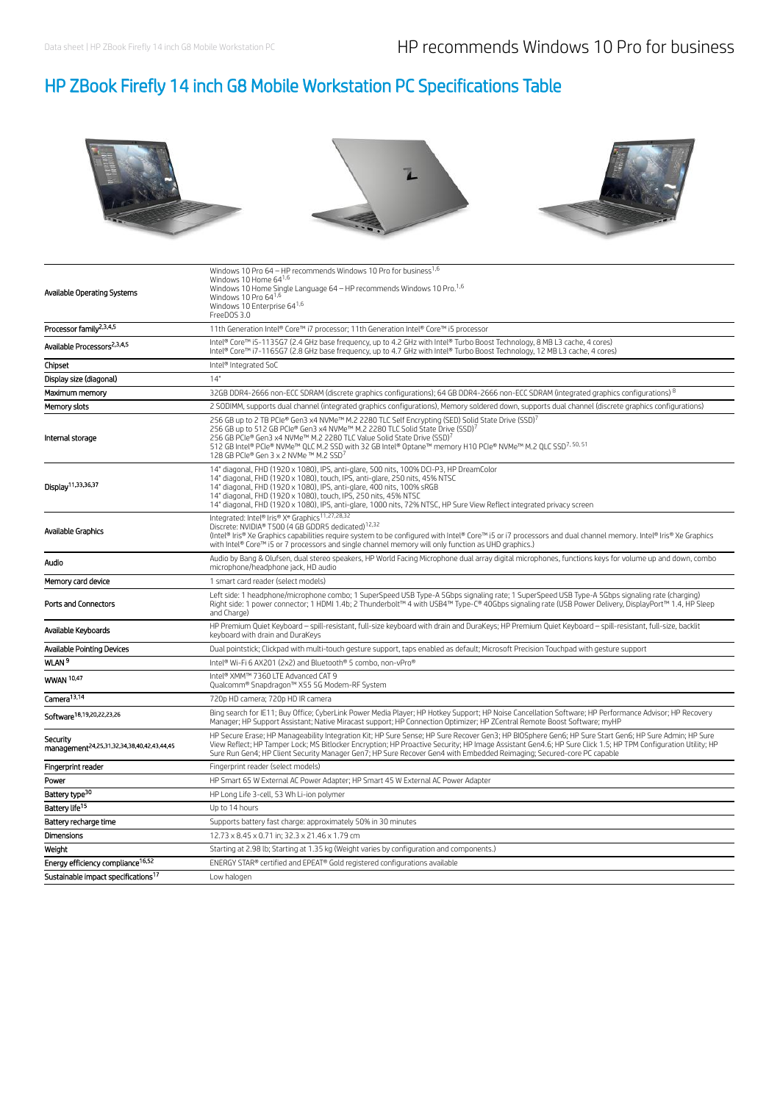# HP ZBook Firefly 14 inch G8 Mobile Workstation PC Specifications Table



| Available Operating Systems                                        | Windows 10 Pro 64 - HP recommends Windows 10 Pro for business <sup>1,6</sup><br>Windows 10 Home 64 <sup>1,6</sup><br>Windows 10 Home Single Language $64$ – HP recommends Windows 10 Pro. <sup>1,6</sup><br>Windows 10 Pro $64^{1,6}$<br>Windows 10 Enterprise 641,6<br>FreeDOS 3.0                                                                                                                                                                                               |
|--------------------------------------------------------------------|-----------------------------------------------------------------------------------------------------------------------------------------------------------------------------------------------------------------------------------------------------------------------------------------------------------------------------------------------------------------------------------------------------------------------------------------------------------------------------------|
| Processor family <sup>2,3,4,5</sup>                                | 11th Generation Intel® Core™ i7 processor; 11th Generation Intel® Core™ i5 processor                                                                                                                                                                                                                                                                                                                                                                                              |
| Available Processors <sup>2,3,4,5</sup>                            | Intel® Core™ i5-1135G7 (2.4 GHz base frequency, up to 4.2 GHz with Intel® Turbo Boost Technology, 8 MB L3 cache, 4 cores)<br>Intel® Core™ i7-1165G7 (2.8 GHz base frequency, up to 4.7 GHz with Intel® Turbo Boost Technology, 12 MB L3 cache, 4 cores)                                                                                                                                                                                                                           |
| Chipset                                                            | Intel® Integrated SoC                                                                                                                                                                                                                                                                                                                                                                                                                                                             |
| Display size (diagonal)                                            | 14"                                                                                                                                                                                                                                                                                                                                                                                                                                                                               |
| Maximum memory                                                     | 32GB DDR4-2666 non-ECC SDRAM (discrete graphics configurations); 64 GB DDR4-2666 non-ECC SDRAM (integrated graphics configurations) 8                                                                                                                                                                                                                                                                                                                                             |
| Memory slots                                                       | 2 SODIMM, supports dual channel (integrated graphics configurations), Memory soldered down, supports dual channel (discrete graphics configurations)                                                                                                                                                                                                                                                                                                                              |
| Internal storage                                                   | 256 GB up to 2 TB PCle® Gen3 x4 NVMe™ M.2 2280 TLC Self Encrypting (SED) Solid State Drive (SSD) <sup>7</sup><br>256 GB up to 512 GB PCle® Gen3 x4 NVMe™ M.2 2280 TLC Solid State Drive (SSD) <sup>7</sup><br>256 GB PCIe® Gen3 x4 NVMe™ M.2 2280 TLC Value Solid State Drive (SSD) <sup>7</sup><br>512 GB Intel® PCIe® NVMe™ QLC M.2 SSD with 32 GB Intel® Optane™ memory H10 PCIe® NVMe™ M.2 QLC SSD <sup>7, 50, 51</sup><br>128 GB PCIe® Gen 3 x 2 NVMe ™ M.2 SSD <sup>7</sup> |
| Display <sup>11,33,36,37</sup>                                     | 14" diagonal, FHD (1920 x 1080), IPS, anti-glare, 500 nits, 100% DCI-P3, HP DreamColor<br>14" diagonal, FHD (1920 x 1080), touch, IPS, anti-glare, 250 nits, 45% NTSC<br>14" diagonal, FHD (1920 x 1080), IPS, anti-glare, 400 nits, 100% sRGB<br>14" diagonal, FHD (1920 x 1080), touch, IPS, 250 nits, 45% NTSC<br>14" diagonal, FHD (1920 x 1080), IPS, anti-glare, 1000 nits, 72% NTSC, HP Sure View Reflect integrated privacy screen                                        |
| Available Graphics                                                 | Integrated: Intel® Iris® Xe Graphics <sup>11,27,28,32</sup><br>Discrete: NVIDIA® T500 (4 GB GDDR5 dedicated) <sup>12,32</sup><br>(Intel® Iris® Xe Graphics capabilities require system to be confiqured with Intel® Core™ i5 or i7 processors and dual channel memory. Intel® Iris® Xe Graphics<br>with Intel® Core™ i5 or 7 processors and single channel memory will only function as UHD graphics.)                                                                            |
| Audio                                                              | Audio by Bang & Olufsen, dual stereo speakers, HP World Facing Microphone dual array digital microphones, functions keys for volume up and down, combo<br>microphone/headphone jack, HD audio                                                                                                                                                                                                                                                                                     |
| Memory card device                                                 | 1 smart card reader (select models)                                                                                                                                                                                                                                                                                                                                                                                                                                               |
| <b>Ports and Connectors</b>                                        | Left side: 1 headphone/microphone combo; 1 SuperSpeed USB Type-A 5Gbps signaling rate; 1 SuperSpeed USB Type-A 5Gbps signaling rate (charging)<br>Right side: 1 power connector; 1 HDMI 1.4b; 2 Thunderbolt™ 4 with USB4™ Type-C® 40Gbps signaling rate (USB Power Delivery, DisplayPort™ 1.4, HP Sleep<br>and Charge)                                                                                                                                                            |
| Available Keyboards                                                | HP Premium Quiet Keyboard - spill-resistant, full-size keyboard with drain and DuraKeys; HP Premium Quiet Keyboard - spill-resistant, full-size, backlit<br>keyboard with drain and DuraKeys                                                                                                                                                                                                                                                                                      |
| <b>Available Pointing Devices</b>                                  | Dual pointstick; Clickpad with multi-touch gesture support, taps enabled as default; Microsoft Precision Touchpad with gesture support                                                                                                                                                                                                                                                                                                                                            |
| WLAN <sup>9</sup>                                                  | Intel® Wi-Fi 6 AX201 (2x2) and Bluetooth® 5 combo, non-vPro®                                                                                                                                                                                                                                                                                                                                                                                                                      |
| WWAN 10,47                                                         | Intel® XMM™ 7360 LTE Advanced CAT 9<br>Qualcomm® Snapdragon™ X55 5G Modem-RF System                                                                                                                                                                                                                                                                                                                                                                                               |
| Camera <sup>13,14</sup>                                            | 720p HD camera; 720p HD IR camera                                                                                                                                                                                                                                                                                                                                                                                                                                                 |
| Software <sup>18,19,20,22,23,26</sup>                              | Bing search for IE11; Buy Office; CyberLink Power Media Player; HP Hotkey Support; HP Noise Cancellation Software; HP Performance Advisor; HP Recovery<br>Manager; HP Support Assistant; Native Miracast support; HP Connection Optimizer; HP ZCentral Remote Boost Software; myHP                                                                                                                                                                                                |
| Security<br>management <sup>24,25,31,32,34,38,40,42,43,44,45</sup> | HP Secure Erase; HP Manageability Integration Kit; HP Sure Sense; HP Sure Recover Gen3; HP BIOSphere Gen6; HP Sure Start Gen6; HP Sure Admin; HP Sure<br>View Reflect: HP Tamper Lock: MS Bitlocker Encryption: HP Proactive Security: HP Image Assistant Gen4.6: HP Sure Click 1.5: HP TPM Configuration Utility: HP<br>Sure Run Gen4; HP Client Security Manager Gen7; HP Sure Recover Gen4 with Embedded Reimaging; Secured-core PC capable                                    |
| Fingerprint reader                                                 | Fingerprint reader (select models)                                                                                                                                                                                                                                                                                                                                                                                                                                                |
| Power                                                              | HP Smart 65 W External AC Power Adapter; HP Smart 45 W External AC Power Adapter                                                                                                                                                                                                                                                                                                                                                                                                  |
| Battery type <sup>30</sup>                                         | HP Long Life 3-cell, 53 Wh Li-ion polymer                                                                                                                                                                                                                                                                                                                                                                                                                                         |
| Battery life <sup>15</sup>                                         | Up to 14 hours                                                                                                                                                                                                                                                                                                                                                                                                                                                                    |
| Battery recharge time                                              | Supports battery fast charge: approximately 50% in 30 minutes                                                                                                                                                                                                                                                                                                                                                                                                                     |
| Dimensions                                                         | 12.73 x 8.45 x 0.71 in; 32.3 x 21.46 x 1.79 cm                                                                                                                                                                                                                                                                                                                                                                                                                                    |
| Weight                                                             | Starting at 2.98 lb; Starting at 1.35 kg (Weight varies by configuration and components.)                                                                                                                                                                                                                                                                                                                                                                                         |
| Energy efficiency compliance <sup>16,52</sup>                      | ENERGY STAR® certified and EPEAT® Gold registered configurations available                                                                                                                                                                                                                                                                                                                                                                                                        |
| Sustainable impact specifications <sup>17</sup>                    | Low halogen                                                                                                                                                                                                                                                                                                                                                                                                                                                                       |